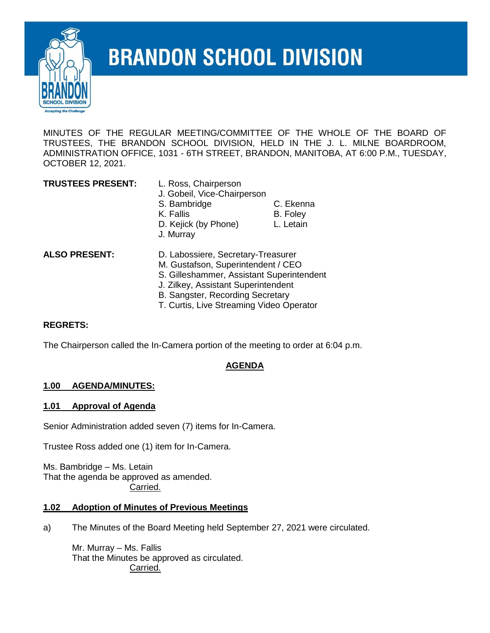

# **BRANDON SCHOOL DIVISION**

MINUTES OF THE REGULAR MEETING/COMMITTEE OF THE WHOLE OF THE BOARD OF TRUSTEES, THE BRANDON SCHOOL DIVISION, HELD IN THE J. L. MILNE BOARDROOM, ADMINISTRATION OFFICE, 1031 - 6TH STREET, BRANDON, MANITOBA, AT 6:00 P.M., TUESDAY, OCTOBER 12, 2021.

| <b>TRUSTEES PRESENT:</b> | L. Ross, Chairperson<br>J. Gobeil, Vice-Chairperson |                                                                                                                                                                                                                                                                                                                                                                                                                                                                                                                                                                                                                     |  |
|--------------------------|-----------------------------------------------------|---------------------------------------------------------------------------------------------------------------------------------------------------------------------------------------------------------------------------------------------------------------------------------------------------------------------------------------------------------------------------------------------------------------------------------------------------------------------------------------------------------------------------------------------------------------------------------------------------------------------|--|
|                          | S. Bambridge                                        | C. Ekenna                                                                                                                                                                                                                                                                                                                                                                                                                                                                                                                                                                                                           |  |
|                          | K. Fallis                                           | B. Foley                                                                                                                                                                                                                                                                                                                                                                                                                                                                                                                                                                                                            |  |
|                          | D. Kejick (by Phone)<br>J. Murray                   | L. Letain                                                                                                                                                                                                                                                                                                                                                                                                                                                                                                                                                                                                           |  |
| <b>ALSO PRESENT:</b>     |                                                     | D. Labossiere, Secretary-Treasurer<br>M. Gustafson, Superintendent / CEO<br>S. Gilleshammer, Assistant Superintendent<br>$\blacksquare$ $\blacksquare$ $\blacksquare$ $\blacksquare$ $\blacksquare$ $\blacksquare$ $\blacksquare$ $\blacksquare$ $\blacksquare$ $\blacksquare$ $\blacksquare$ $\blacksquare$ $\blacksquare$ $\blacksquare$ $\blacksquare$ $\blacksquare$ $\blacksquare$ $\blacksquare$ $\blacksquare$ $\blacksquare$ $\blacksquare$ $\blacksquare$ $\blacksquare$ $\blacksquare$ $\blacksquare$ $\blacksquare$ $\blacksquare$ $\blacksquare$ $\blacksquare$ $\blacksquare$ $\blacksquare$ $\blacks$ |  |

- J. Zilkey, Assistant Superintendent
- B. Sangster, Recording Secretary
- T. Curtis, Live Streaming Video Operator

#### **REGRETS:**

The Chairperson called the In-Camera portion of the meeting to order at 6:04 p.m.

#### **AGENDA**

#### **1.00 AGENDA/MINUTES:**

#### **1.01 Approval of Agenda**

Senior Administration added seven (7) items for In-Camera.

Trustee Ross added one (1) item for In-Camera.

Ms. Bambridge – Ms. Letain That the agenda be approved as amended. Carried.

#### **1.02 Adoption of Minutes of Previous Meetings**

a) The Minutes of the Board Meeting held September 27, 2021 were circulated.

Mr. Murray – Ms. Fallis That the Minutes be approved as circulated. Carried.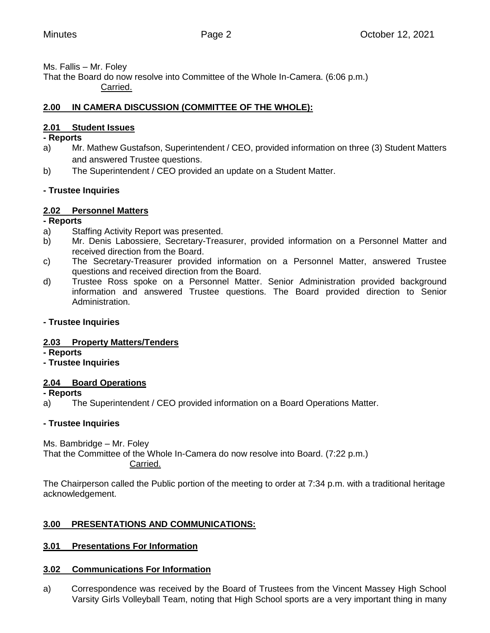Ms. Fallis – Mr. Foley

That the Board do now resolve into Committee of the Whole In-Camera. (6:06 p.m.) Carried.

# **2.00 IN CAMERA DISCUSSION (COMMITTEE OF THE WHOLE):**

# **2.01 Student Issues**

#### **- Reports**

- a) Mr. Mathew Gustafson, Superintendent / CEO, provided information on three (3) Student Matters and answered Trustee questions.
- b) The Superintendent / CEO provided an update on a Student Matter.

# **- Trustee Inquiries**

# **2.02 Personnel Matters**

#### **- Reports**

- a) Staffing Activity Report was presented.
- b) Mr. Denis Labossiere, Secretary-Treasurer, provided information on a Personnel Matter and received direction from the Board.
- c) The Secretary-Treasurer provided information on a Personnel Matter, answered Trustee questions and received direction from the Board.
- d) Trustee Ross spoke on a Personnel Matter. Senior Administration provided background information and answered Trustee questions. The Board provided direction to Senior Administration.

# **- Trustee Inquiries**

# **2.03 Property Matters/Tenders**

**- Reports**

# **- Trustee Inquiries**

# **2.04 Board Operations**

**- Reports**

a) The Superintendent / CEO provided information on a Board Operations Matter.

# **- Trustee Inquiries**

Ms. Bambridge – Mr. Foley

That the Committee of the Whole In-Camera do now resolve into Board. (7:22 p.m.) Carried.

The Chairperson called the Public portion of the meeting to order at 7:34 p.m. with a traditional heritage acknowledgement.

# **3.00 PRESENTATIONS AND COMMUNICATIONS:**

# **3.01 Presentations For Information**

# **3.02 Communications For Information**

a) Correspondence was received by the Board of Trustees from the Vincent Massey High School Varsity Girls Volleyball Team, noting that High School sports are a very important thing in many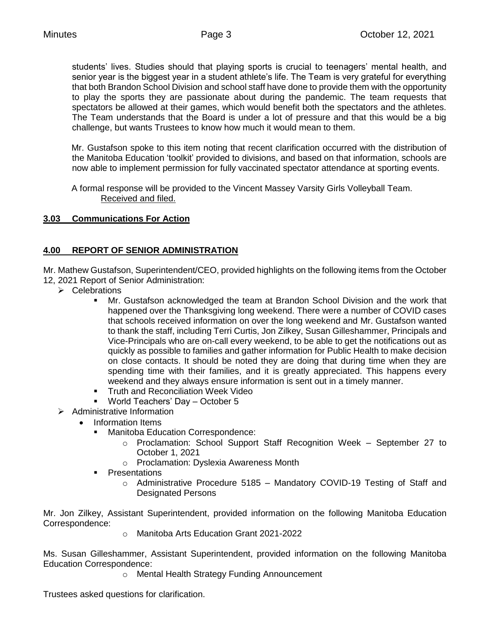students' lives. Studies should that playing sports is crucial to teenagers' mental health, and senior year is the biggest year in a student athlete's life. The Team is very grateful for everything that both Brandon School Division and school staff have done to provide them with the opportunity to play the sports they are passionate about during the pandemic. The team requests that spectators be allowed at their games, which would benefit both the spectators and the athletes. The Team understands that the Board is under a lot of pressure and that this would be a big challenge, but wants Trustees to know how much it would mean to them.

Mr. Gustafson spoke to this item noting that recent clarification occurred with the distribution of the Manitoba Education 'toolkit' provided to divisions, and based on that information, schools are now able to implement permission for fully vaccinated spectator attendance at sporting events.

A formal response will be provided to the Vincent Massey Varsity Girls Volleyball Team. Received and filed.

# **3.03 Communications For Action**

# **4.00 REPORT OF SENIOR ADMINISTRATION**

Mr. Mathew Gustafson, Superintendent/CEO, provided highlights on the following items from the October 12, 2021 Report of Senior Administration:

- $\triangleright$  Celebrations
	- Mr. Gustafson acknowledged the team at Brandon School Division and the work that happened over the Thanksgiving long weekend. There were a number of COVID cases that schools received information on over the long weekend and Mr. Gustafson wanted to thank the staff, including Terri Curtis, Jon Zilkey, Susan Gilleshammer, Principals and Vice-Principals who are on-call every weekend, to be able to get the notifications out as quickly as possible to families and gather information for Public Health to make decision on close contacts. It should be noted they are doing that during time when they are spending time with their families, and it is greatly appreciated. This happens every weekend and they always ensure information is sent out in a timely manner.
	- **Truth and Reconciliation Week Video**
	- World Teachers' Day October 5
- $\triangleright$  Administrative Information
	- Information Items
		- **Manitoba Education Correspondence:** 
			- o Proclamation: School Support Staff Recognition Week September 27 to October 1, 2021
			- o Proclamation: Dyslexia Awareness Month
		- Presentations
			- o Administrative Procedure 5185 Mandatory COVID-19 Testing of Staff and Designated Persons

Mr. Jon Zilkey, Assistant Superintendent, provided information on the following Manitoba Education Correspondence:

o Manitoba Arts Education Grant 2021-2022

Ms. Susan Gilleshammer, Assistant Superintendent, provided information on the following Manitoba Education Correspondence:

o Mental Health Strategy Funding Announcement

Trustees asked questions for clarification.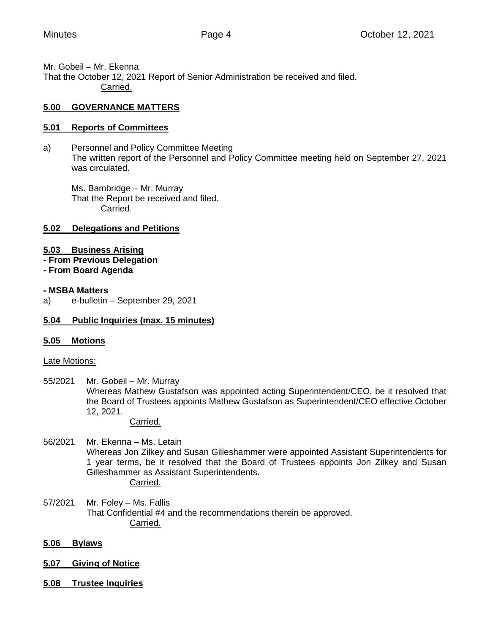Mr. Gobeil – Mr. Ekenna That the October 12, 2021 Report of Senior Administration be received and filed. Carried.

#### **5.00 GOVERNANCE MATTERS**

#### **5.01 Reports of Committees**

a) Personnel and Policy Committee Meeting The written report of the Personnel and Policy Committee meeting held on September 27, 2021 was circulated.

Ms. Bambridge – Mr. Murray That the Report be received and filed. Carried.

#### **5.02 Delegations and Petitions**

#### **5.03 Business Arising**

- **- From Previous Delegation**
- **- From Board Agenda**

#### **- MSBA Matters**

a) e-bulletin – September 29, 2021

#### **5.04 Public Inquiries (max. 15 minutes)**

#### **5.05 Motions**

Late Motions:

55/2021 Mr. Gobeil – Mr. Murray Whereas Mathew Gustafson was appointed acting Superintendent/CEO, be it resolved that the Board of Trustees appoints Mathew Gustafson as Superintendent/CEO effective October 12, 2021.

Carried.

- 56/2021 Mr. Ekenna Ms. Letain Whereas Jon Zilkey and Susan Gilleshammer were appointed Assistant Superintendents for 1 year terms, be it resolved that the Board of Trustees appoints Jon Zilkey and Susan Gilleshammer as Assistant Superintendents. Carried.
- 57/2021 Mr. Foley Ms. Fallis That Confidential #4 and the recommendations therein be approved. Carried.

#### **5.06 Bylaws**

- **5.07 Giving of Notice**
- **5.08 Trustee Inquiries**